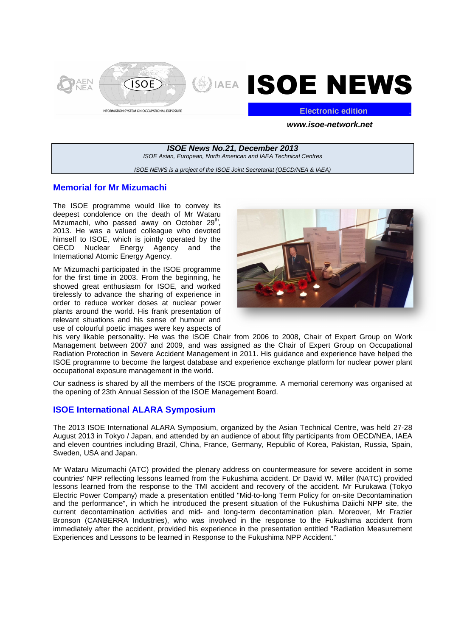



**Electronic edition** .

**www.isoe-network.net** 

**ISOE News No.21, December 2013**  ISOE Asian, European, North American and IAEA Technical Centres

ISOE NEWS is a project of the ISOE Joint Secretariat (OECD/NEA & IAEA)

## **Memorial for Mr Mizumachi**

The ISOE programme would like to convey its deepest condolence on the death of Mr Wataru Mizumachi, who passed away on October 29<sup>th</sup>, 2013. He was a valued colleague who devoted himself to ISOE, which is jointly operated by the OECD Nuclear Energy Agency and the International Atomic Energy Agency.

Mr Mizumachi participated in the ISOE programme for the first time in 2003. From the beginning, he showed great enthusiasm for ISOE, and worked tirelessly to advance the sharing of experience in order to reduce worker doses at nuclear power plants around the world. His frank presentation of relevant situations and his sense of humour and use of colourful poetic images were key aspects of



his very likable personality. He was the ISOE Chair from 2006 to 2008, Chair of Expert Group on Work Management between 2007 and 2009, and was assigned as the Chair of Expert Group on Occupational Radiation Protection in Severe Accident Management in 2011. His guidance and experience have helped the ISOE programme to become the largest database and experience exchange platform for nuclear power plant occupational exposure management in the world.

Our sadness is shared by all the members of the ISOE programme. A memorial ceremony was organised at the opening of 23th Annual Session of the ISOE Management Board.

# **ISOE International ALARA Symposium**

The 2013 ISOE International ALARA Symposium, organized by the Asian Technical Centre, was held 27-28 August 2013 in Tokyo / Japan, and attended by an audience of about fifty participants from OECD/NEA, IAEA and eleven countries including Brazil, China, France, Germany, Republic of Korea, Pakistan, Russia, Spain, Sweden, USA and Japan.

Mr Wataru Mizumachi (ATC) provided the plenary address on countermeasure for severe accident in some countries' NPP reflecting lessons learned from the Fukushima accident. Dr David W. Miller (NATC) provided lessons learned from the response to the TMI accident and recovery of the accident. Mr Furukawa (Tokyo Electric Power Company) made a presentation entitled "Mid-to-long Term Policy for on-site Decontamination and the performance", in which he introduced the present situation of the Fukushima Daiichi NPP site, the current decontamination activities and mid- and long-term decontamination plan. Moreover, Mr Frazier Bronson (CANBERRA Industries), who was involved in the response to the Fukushima accident from immediately after the accident, provided his experience in the presentation entitled "Radiation Measurement Experiences and Lessons to be learned in Response to the Fukushima NPP Accident."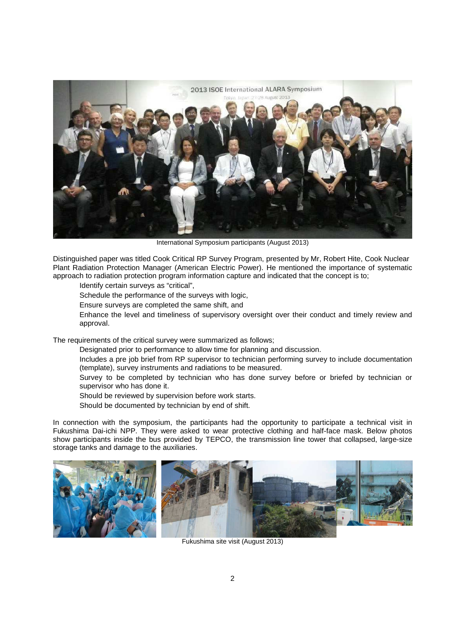

International Symposium participants (August 2013)

Distinguished paper was titled Cook Critical RP Survey Program, presented by Mr, Robert Hite, Cook Nuclear Plant Radiation Protection Manager (American Electric Power). He mentioned the importance of systematic approach to radiation protection program information capture and indicated that the concept is to;

- Identify certain surveys as "critical",
- Schedule the performance of the surveys with logic,
- Ensure surveys are completed the same shift, and
- Enhance the level and timeliness of supervisory oversight over their conduct and timely review and approval.

The requirements of the critical survey were summarized as follows;

- Designated prior to performance to allow time for planning and discussion.
- Includes a pre job brief from RP supervisor to technician performing survey to include documentation (template), survey instruments and radiations to be measured.
- Survey to be completed by technician who has done survey before or briefed by technician or supervisor who has done it.
- Should be reviewed by supervision before work starts.
- Should be documented by technician by end of shift.

In connection with the symposium, the participants had the opportunity to participate a technical visit in Fukushima Dai-ichi NPP. They were asked to wear protective clothing and half-face mask. Below photos show participants inside the bus provided by TEPCO, the transmission line tower that collapsed, large-size storage tanks and damage to the auxiliaries.





Fukushima site visit (August 2013)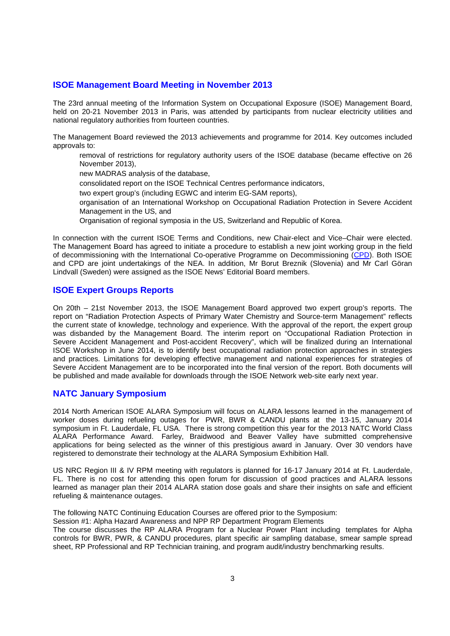# **ISOE Management Board Meeting in November 2013**

The 23rd annual meeting of the Information System on Occupational Exposure (ISOE) Management Board, held on 20-21 November 2013 in Paris, was attended by participants from nuclear electricity utilities and national regulatory authorities from fourteen countries.

The Management Board reviewed the 2013 achievements and programme for 2014. Key outcomes included approvals to:

- removal of restrictions for regulatory authority users of the ISOE database (became effective on 26 November 2013),
- new MADRAS analysis of the database,
- consolidated report on the ISOE Technical Centres performance indicators,
- $-$  two expert group's (including EGWC and interim EG-SAM reports),
- organisation of an International Workshop on Occupational Radiation Protection in Severe Accident Management in the US, and
- Organisation of regional symposia in the US, Switzerland and Republic of Korea.

In connection with the current ISOE Terms and Conditions, new Chair-elect and Vice–Chair were elected. The Management Board has agreed to initiate a procedure to establish a new joint working group in the field of decommissioning with the International Co-operative Programme on Decommissioning (CPD). Both ISOE and CPD are joint undertakings of the NEA. In addition, Mr Borut Breznik (Slovenia) and Mr Carl Göran Lindvall (Sweden) were assigned as the ISOE News' Editorial Board members.

### **ISOE Expert Groups Reports**

On 20th – 21st November 2013, the ISOE Management Board approved two expert group's reports. The report on "Radiation Protection Aspects of Primary Water Chemistry and Source-term Management" reflects the current state of knowledge, technology and experience. With the approval of the report, the expert group was disbanded by the Management Board. The interim report on "Occupational Radiation Protection in Severe Accident Management and Post-accident Recovery", which will be finalized during an International ISOE Workshop in June 2014, is to identify best occupational radiation protection approaches in strategies and practices. Limitations for developing effective management and national experiences for strategies of Severe Accident Management are to be incorporated into the final version of the report. Both documents will be published and made available for downloads through the ISOE Network web-site early next year.

### **NATC January Symposium**

2014 North American ISOE ALARA Symposium will focus on ALARA lessons learned in the management of worker doses during refueling outages for PWR, BWR & CANDU plants at the 13-15, January 2014 symposium in Ft. Lauderdale, FL USA. There is strong competition this year for the 2013 NATC World Class ALARA Performance Award. Farley, Braidwood and Beaver Valley have submitted comprehensive applications for being selected as the winner of this prestigious award in January. Over 30 vendors have registered to demonstrate their technology at the ALARA Symposium Exhibition Hall.

US NRC Region III & IV RPM meeting with regulators is planned for 16-17 January 2014 at Ft. Lauderdale, FL. There is no cost for attending this open forum for discussion of good practices and ALARA lessons learned as manager plan their 2014 ALARA station dose goals and share their insights on safe and efficient refueling & maintenance outages.

The following NATC Continuing Education Courses are offered prior to the Symposium: Session #1: Alpha Hazard Awareness and NPP RP Department Program Elements The course discusses the RP ALARA Program for a Nuclear Power Plant including templates for Alpha controls for BWR, PWR, & CANDU procedures, plant specific air sampling database, smear sample spread sheet, RP Professional and RP Technician training, and program audit/industry benchmarking results.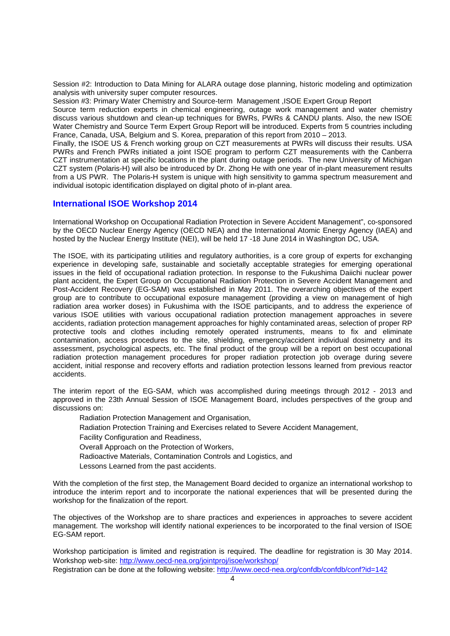Session #2: Introduction to Data Mining for ALARA outage dose planning, historic modeling and optimization analysis with university super computer resources.

Session #3: Primary Water Chemistry and Source-term Management ,ISOE Expert Group Report

Source term reduction experts in chemical engineering, outage work management and water chemistry discuss various shutdown and clean-up techniques for BWRs, PWRs & CANDU plants. Also, the new ISOE Water Chemistry and Source Term Expert Group Report will be introduced. Experts from 5 countries including France, Canada, USA, Belgium and S. Korea, preparation of this report from 2010 – 2013.

Finally, the ISOE US & French working group on CZT measurements at PWRs will discuss their results. USA PWRs and French PWRs initiated a joint ISOE program to perform CZT measurements with the Canberra CZT instrumentation at specific locations in the plant during outage periods. The new University of Michigan CZT system (Polaris-H) will also be introduced by Dr. Zhong He with one year of in-plant measurement results from a US PWR. The Polaris-H system is unique with high sensitivity to gamma spectrum measurement and individual isotopic identification displayed on digital photo of in-plant area.

## **International ISOE Workshop 2014**

International Workshop on Occupational Radiation Protection in Severe Accident Management", co-sponsored by the OECD Nuclear Energy Agency (OECD NEA) and the International Atomic Energy Agency (IAEA) and hosted by the Nuclear Energy Institute (NEI), will be held 17 -18 June 2014 in Washington DC, USA.

The ISOE, with its participating utilities and regulatory authorities, is a core group of experts for exchanging experience in developing safe, sustainable and societally acceptable strategies for emerging operational issues in the field of occupational radiation protection. In response to the Fukushima Daiichi nuclear power plant accident, the Expert Group on Occupational Radiation Protection in Severe Accident Management and Post-Accident Recovery (EG-SAM) was established in May 2011. The overarching objectives of the expert group are to contribute to occupational exposure management (providing a view on management of high radiation area worker doses) in Fukushima with the ISOE participants, and to address the experience of various ISOE utilities with various occupational radiation protection management approaches in severe accidents, radiation protection management approaches for highly contaminated areas, selection of proper RP protective tools and clothes including remotely operated instruments, means to fix and eliminate contamination, access procedures to the site, shielding, emergency/accident individual dosimetry and its assessment, psychological aspects, etc. The final product of the group will be a report on best occupational radiation protection management procedures for proper radiation protection job overage during severe accident, initial response and recovery efforts and radiation protection lessons learned from previous reactor accidents.

The interim report of the EG-SAM, which was accomplished during meetings through 2012 - 2013 and approved in the 23th Annual Session of ISOE Management Board, includes perspectives of the group and discussions on:

- Radiation Protection Management and Organisation,
- Radiation Protection Training and Exercises related to Severe Accident Management,
- Facility Configuration and Readiness,
- Overall Approach on the Protection of Workers,
- Radioactive Materials, Contamination Controls and Logistics, and
- Lessons Learned from the past accidents.

With the completion of the first step, the Management Board decided to organize an international workshop to introduce the interim report and to incorporate the national experiences that will be presented during the workshop for the finalization of the report.

The objectives of the Workshop are to share practices and experiences in approaches to severe accident management. The workshop will identify national experiences to be incorporated to the final version of ISOE EG-SAM report.

Workshop participation is limited and registration is required. The deadline for registration is 30 May 2014. Workshop web-site: http://www.oecd-nea.org/jointproj/isoe/workshop/

Registration can be done at the following website: http://www.oecd-nea.org/confdb/confdb/conf?id=142